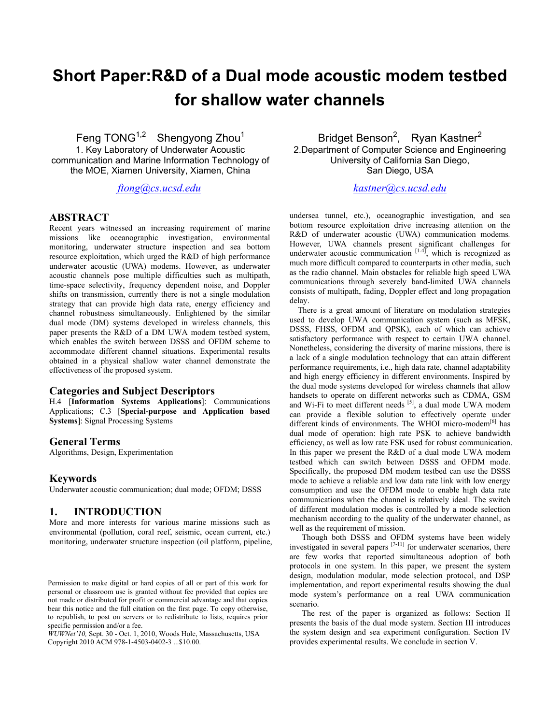# **Short Paper:R&D of a Dual mode acoustic modem testbed for shallow water channels**

Feng TONG $1,2$  Shengyong Zhou $1$ 1. Key Laboratory of Underwater Acoustic communication and Marine Information Technology of the MOE, Xiamen University, Xiamen, China

*ftong@cs.ucsd.edu* 

## **ABSTRACT**

Recent years witnessed an increasing requirement of marine missions like oceanographic investigation, environmental monitoring, underwater structure inspection and sea bottom resource exploitation, which urged the R&D of high performance underwater acoustic (UWA) modems. However, as underwater acoustic channels pose multiple difficulties such as multipath, time-space selectivity, frequency dependent noise, and Doppler shifts on transmission, currently there is not a single modulation strategy that can provide high data rate, energy efficiency and channel robustness simultaneously. Enlightened by the similar dual mode (DM) systems developed in wireless channels, this paper presents the R&D of a DM UWA modem testbed system, which enables the switch between DSSS and OFDM scheme to accommodate different channel situations. Experimental results obtained in a physical shallow water channel demonstrate the effectiveness of the proposed system.

#### **Categories and Subject Descriptors**

H.4 [**Information Systems Applications**]: Communications Applications; C.3 [**Special-purpose and Application based Systems**]: Signal Processing Systems

#### **General Terms**

Algorithms, Design, Experimentation

### **Keywords**

Underwater acoustic communication; dual mode; OFDM; DSSS

## **1. INTRODUCTION**

More and more interests for various marine missions such as environmental (pollution, coral reef, seismic, ocean current, etc.) monitoring, underwater structure inspection (oil platform, pipeline,

*WUWNet'10,* Sept. 30 - Oct. 1, 2010, Woods Hole, Massachusetts, USA Copyright 2010 ACM 978-1-4503-0402-3 ...\$10.00.

Bridget Benson2 , Ryan Kastner2 2.Department of Computer Science and Engineering University of California San Diego, San Diego, USA

*kastner@cs.ucsd.edu* 

undersea tunnel, etc.), oceanographic investigation, and sea bottom resource exploitation drive increasing attention on the R&D of underwater acoustic (UWA) communication modems*.*  However, UWA channels present significant challenges for underwater acoustic communication  $[1-4]$ , which is recognized as much more difficult compared to counterparts in other media, such as the radio channel. Main obstacles for reliable high speed UWA communications through severely band-limited UWA channels consists of multipath, fading, Doppler effect and long propagation delay.

There is a great amount of literature on modulation strategies used to develop UWA communication system (such as MFSK, DSSS, FHSS, OFDM and QPSK), each of which can achieve satisfactory performance with respect to certain UWA channel. Nonetheless, considering the diversity of marine missions, there is a lack of a single modulation technology that can attain different performance requirements, i.e., high data rate, channel adaptability and high energy efficiency in different environments. Inspired by the dual mode systems developed for wireless channels that allow handsets to operate on different networks such as CDMA, GSM and Wi-Fi to meet different needs <sup>[5]</sup>, a dual mode UWA modem can provide a flexible solution to effectively operate under different kinds of environments. The WHOI micro-modem<sup>[6]</sup> has dual mode of operation: high rate PSK to achieve bandwidth efficiency, as well as low rate FSK used for robust communication. In this paper we present the R&D of a dual mode UWA modem testbed which can switch between DSSS and OFDM mode. Specifically, the proposed DM modem testbed can use the DSSS mode to achieve a reliable and low data rate link with low energy consumption and use the OFDM mode to enable high data rate communications when the channel is relatively ideal. The switch of different modulation modes is controlled by a mode selection mechanism according to the quality of the underwater channel, as well as the requirement of mission.

Though both DSSS and OFDM systems have been widely investigated in several papers  $[7-11]$  for underwater scenarios, there are few works that reported simultaneous adoption of both protocols in one system. In this paper, we present the system design, modulation modular, mode selection protocol, and DSP implementation, and report experimental results showing the dual mode system's performance on a real UWA communication scenario.

The rest of the paper is organized as follows: Section II presents the basis of the dual mode system. Section III introduces the system design and sea experiment configuration. Section IV provides experimental results. We conclude in section V.

Permission to make digital or hard copies of all or part of this work for personal or classroom use is granted without fee provided that copies are not made or distributed for profit or commercial advantage and that copies bear this notice and the full citation on the first page. To copy otherwise, to republish, to post on servers or to redistribute to lists, requires prior specific permission and/or a fee.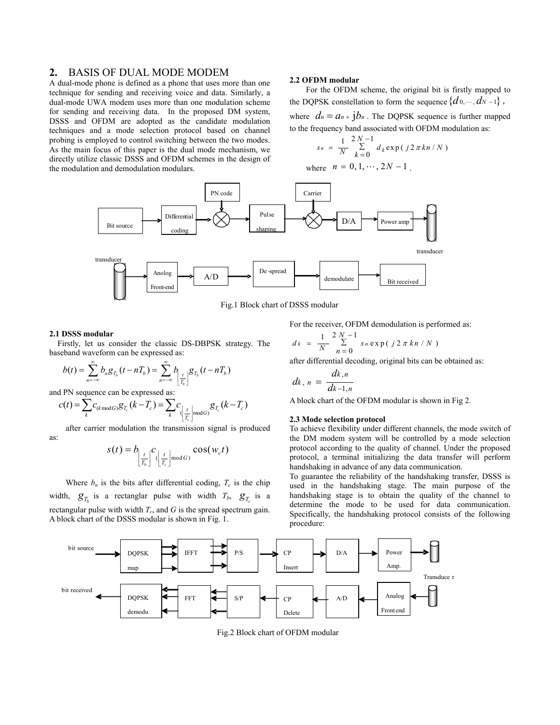# **2.** BASIS OF DUAL MODE MODEM

A dual-mode phone is defined as a phone that uses more than one technique for sending and receiving voice and data. Similarly, a dual-mode UWA modem uses more than one modulation scheme for sending and receiving data. In the proposed DM system, DSSS and OFDM are adopted as the candidate modulation techniques and a mode selection protocol based on channel probing is employed to control switching between the two modes. As the main focus of this paper is the dual mode mechanism, we directly utilize classic DSSS and OFDM schemes in the design of the modulation and demodulation modulars.

#### **2.2 OFDM modular**

For the OFDM scheme, the original bit is firstly mapped to the DQPSK constellation to form the sequence  ${d_0, ..., d_{N-1}}$ , where  $d_n = a_{n+1} b_n$ . The DQPSK sequence is further mapped to the frequency band associated with OFDM modulation as:

$$
s_n = \frac{1}{N} \sum_{k=0}^{2N-1} d_k \exp(j2 \pi k n / N)
$$

where  $n = 0, 1, \dots, 2N - 1$ .



Fig.1 Block chart of DSSS modular

#### **2.1 DSSS modular**

Firstly, let us consider the classic DS-DBPSK strategy. The baseband waveform can be expressed as:

$$
b(t) = \sum_{n=-\infty}^{\infty} b_n g_{T_b}(t - nT_b) = \sum_{n=-\infty}^{\infty} b_{\left|\frac{t}{T_b}\right|} g_{T_b}(t - nT_b)
$$

and PN sequence can be expressed as:

$$
c(t) = \sum_{k} c_{(k \mod G)} g_{T_c}(k - T_c) = \sum_{k} c_{\left(\frac{t}{T_c} \mod G\right)} g_{T_c}(k - T_c)
$$

after carrier modulation the transmission signal is produced as:

$$
s(t) = b_{\left\lfloor \frac{t}{T_b} \right\rfloor} c_{\left\lfloor \frac{t}{T_c} \right\rfloor \text{mod } G} \cos(w_c t)
$$

Where  $b_n$  is the bits after differential coding,  $T_c$  is the chip width,  $g_{T_b}$  is a rectanglar pulse with width  $T_b$ ,  $g_{T_c}$  is a rectangular pulse with width  $T_c$ , and G is the spread spectrum gain. A block chart of the DSSS modular is shown in Fig. 1.

For the receiver, OFDM demodulation is performed as:

$$
d_k = \frac{1}{N} \sum_{n=0}^{2N-1} s_n \exp(j 2 \pi k n / N)
$$

after differential decoding, original bits can be obtained as:

$$
dk, n = \frac{dk, n}{dk-1, n}
$$

A block chart of the OFDM modular is shown in Fig 2.

#### **2.3 Mode selection protocol**

To achieve flexibility under different channels, the mode switch of the DM modem system will be controlled by a mode selection protocol according to the quality of channel. Under the proposed protocol, a terminal initializing the data transfer will perform handshaking in advance of any data communication.

To guarantee the reliability of the handshaking transfer, DSSS is used in the handshaking stage. The main purpose of the handshaking stage is to obtain the quality of the channel to determine the mode to be used for data communication. Specifically, the handshaking protocol consists of the following procedure:



Fig.2 Block chart of OFDM modular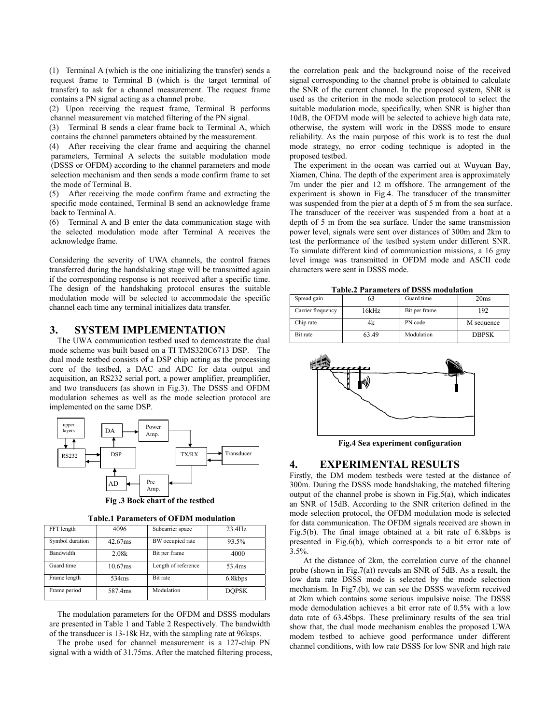(1) Terminal A (which is the one initializing the transfer) sends a request frame to Terminal B (which is the target terminal of transfer) to ask for a channel measurement. The request frame contains a PN signal acting as a channel probe.

(2) Upon receiving the request frame, Terminal B performs channel measurement via matched filtering of the PN signal.

(3) Terminal B sends a clear frame back to Terminal A, which contains the channel parameters obtained by the measurement.

(4) After receiving the clear frame and acquiring the channel parameters, Terminal A selects the suitable modulation mode (DSSS or OFDM) according to the channel parameters and mode selection mechanism and then sends a mode confirm frame to set the mode of Terminal B.

(5) After receiving the mode confirm frame and extracting the specific mode contained, Terminal B send an acknowledge frame back to Terminal A.

(6) Terminal A and B enter the data communication stage with the selected modulation mode after Terminal A receives the acknowledge frame.

Considering the severity of UWA channels, the control frames transferred during the handshaking stage will be transmitted again if the corresponding response is not received after a specific time. The design of the handshaking protocol ensures the suitable modulation mode will be selected to accommodate the specific channel each time any terminal initializes data transfer.

## **3. SYSTEM IMPLEMENTATION**

The UWA communication testbed used to demonstrate the dual mode scheme was built based on a TI TMS320C6713 DSP. The dual mode testbed consists of a DSP chip acting as the processing core of the testbed, a DAC and ADC for data output and acquisition, an RS232 serial port, a power amplifier, preamplifier, and two transducers (as shown in Fig.3). The DSSS and OFDM modulation schemes as well as the mode selection protocol are implemented on the same DSP.



**Fig .3 Bock chart of the testbed** 

|  |  | <b>Table.1 Parameters of OFDM modulation</b> |  |  |  |
|--|--|----------------------------------------------|--|--|--|
|--|--|----------------------------------------------|--|--|--|

| FFT length      | 4096       | Subcarrier space    | $23.4$ Hz    |
|-----------------|------------|---------------------|--------------|
| Symbol duration | 42.67ms    | BW occupied rate    | 93.5%        |
| Bandwidth       | 2.08k      | Bit per frame       | 4000         |
| Guard time      | $10.67$ ms | Length of reference | 53.4ms       |
| Frame length    | 534ms      | <b>Bit rate</b>     | 6.8kbps      |
| Frame period    | 587.4ms    | Modulation          | <b>DOPSK</b> |

The modulation parameters for the OFDM and DSSS modulars are presented in Table 1 and Table 2 Respectively. The bandwidth of the transducer is 13-18k Hz, with the sampling rate at 96ksps.

The probe used for channel measurement is a 127-chip PN signal with a width of 31.75ms. After the matched filtering process, the correlation peak and the background noise of the received signal corresponding to the channel probe is obtained to calculate the SNR of the current channel. In the proposed system, SNR is used as the criterion in the mode selection protocol to select the suitable modulation mode, specifically, when SNR is higher than 10dB, the OFDM mode will be selected to achieve high data rate, otherwise, the system will work in the DSSS mode to ensure reliability. As the main purpose of this work is to test the dual mode strategy, no error coding technique is adopted in the proposed testbed.

The experiment in the ocean was carried out at Wuyuan Bay, Xiamen, China. The depth of the experiment area is approximately 7m under the pier and 12 m offshore. The arrangement of the experiment is shown in Fig.4. The transducer of the transmitter was suspended from the pier at a depth of 5 m from the sea surface. The transducer of the receiver was suspended from a boat at a depth of 5 m from the sea surface. Under the same transmission power level, signals were sent over distances of 300m and 2km to test the performance of the testbed system under different SNR. To simulate different kind of communication missions, a 16 gray level image was transmitted in OFDM mode and ASCII code characters were sent in DSSS mode.

**Table.2 Parameters of DSSS modulation**

| Spread gain       |       | Guard time    | 20ms         |
|-------------------|-------|---------------|--------------|
| Carrier frequency | 16kHz | Bit per frame | 192          |
| Chip rate         |       | PN code       | M sequence   |
| Bit rate          | 63.49 | Modulation    | <b>DBPSK</b> |



**Fig.4 Sea experiment configuration** 

## **4. EXPERIMENTAL RESULTS**

Firstly, the DM modem testbeds were tested at the distance of 300m. During the DSSS mode handshaking, the matched filtering output of the channel probe is shown in Fig.5(a), which indicates an SNR of 15dB. According to the SNR criterion defined in the mode selection protocol, the OFDM modulation mode is selected for data communication. The OFDM signals received are shown in Fig.5(b). The final image obtained at a bit rate of 6.8kbps is presented in Fig.6(b), which corresponds to a bit error rate of 3.5%.

 At the distance of 2km, the correlation curve of the channel probe (shown in Fig.7(a)) reveals an SNR of 5dB. As a result, the low data rate DSSS mode is selected by the mode selection mechanism. In Fig7.(b), we can see the DSSS waveform received at 2km which contains some serious impulsive noise. The DSSS mode demodulation achieves a bit error rate of 0.5% with a low data rate of 63.45bps. These preliminary results of the sea trial show that, the dual mode mechanism enables the proposed UWA modem testbed to achieve good performance under different channel conditions, with low rate DSSS for low SNR and high rate